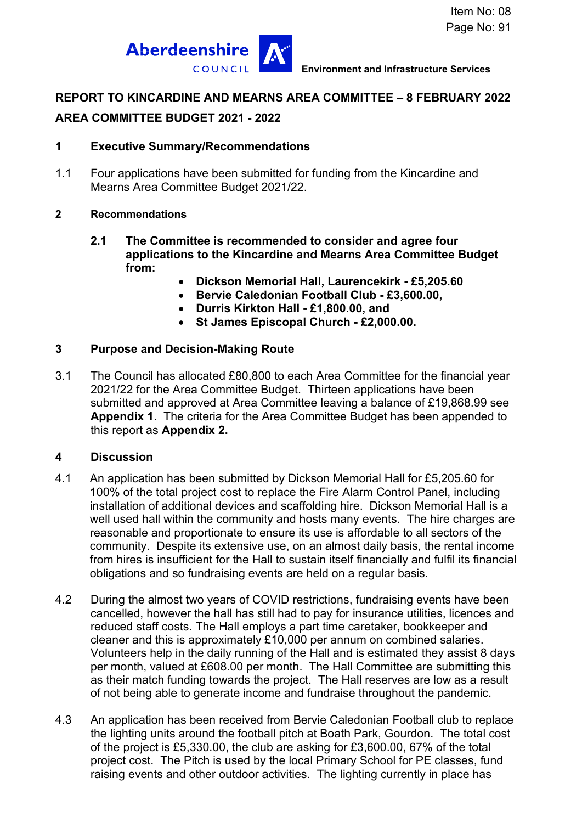

### **REPORT TO KINCARDINE AND MEARNS AREA COMMITTEE – 8 FEBRUARY 2022**

## **AREA COMMITTEE BUDGET 2021 - 2022**

### **1 Executive Summary/Recommendations**

1.1 Four applications have been submitted for funding from the Kincardine and Mearns Area Committee Budget 2021/22.

#### **2 Recommendations**

- **2.1 The Committee is recommended to consider and agree four applications to the Kincardine and Mearns Area Committee Budget from:** 
	- **Dickson Memorial Hall, Laurencekirk £5,205.60**
	- **Bervie Caledonian Football Club £3,600.00,**
	- **Durris Kirkton Hall £1,800.00, and**
	- **St James Episcopal Church £2,000.00.**

### **3 Purpose and Decision-Making Route**

3.1 The Council has allocated £80,800 to each Area Committee for the financial year 2021/22 for the Area Committee Budget. Thirteen applications have been submitted and approved at Area Committee leaving a balance of £19,868.99 see **Appendix 1**. The criteria for the Area Committee Budget has been appended to this report as **Appendix 2.**

#### **4 Discussion**

- 4.1 An application has been submitted by Dickson Memorial Hall for £5,205.60 for 100% of the total project cost to replace the Fire Alarm Control Panel, including installation of additional devices and scaffolding hire. Dickson Memorial Hall is a well used hall within the community and hosts many events. The hire charges are reasonable and proportionate to ensure its use is affordable to all sectors of the community. Despite its extensive use, on an almost daily basis, the rental income from hires is insufficient for the Hall to sustain itself financially and fulfil its financial obligations and so fundraising events are held on a regular basis.
- 4.2 During the almost two years of COVID restrictions, fundraising events have been cancelled, however the hall has still had to pay for insurance utilities, licences and reduced staff costs. The Hall employs a part time caretaker, bookkeeper and cleaner and this is approximately £10,000 per annum on combined salaries. Volunteers help in the daily running of the Hall and is estimated they assist 8 days per month, valued at £608.00 per month. The Hall Committee are submitting this as their match funding towards the project. The Hall reserves are low as a result of not being able to generate income and fundraise throughout the pandemic.
- 4.3 An application has been received from Bervie Caledonian Football club to replace the lighting units around the football pitch at Boath Park, Gourdon. The total cost of the project is £5,330.00, the club are asking for £3,600.00, 67% of the total project cost. The Pitch is used by the local Primary School for PE classes, fund raising events and other outdoor activities. The lighting currently in place has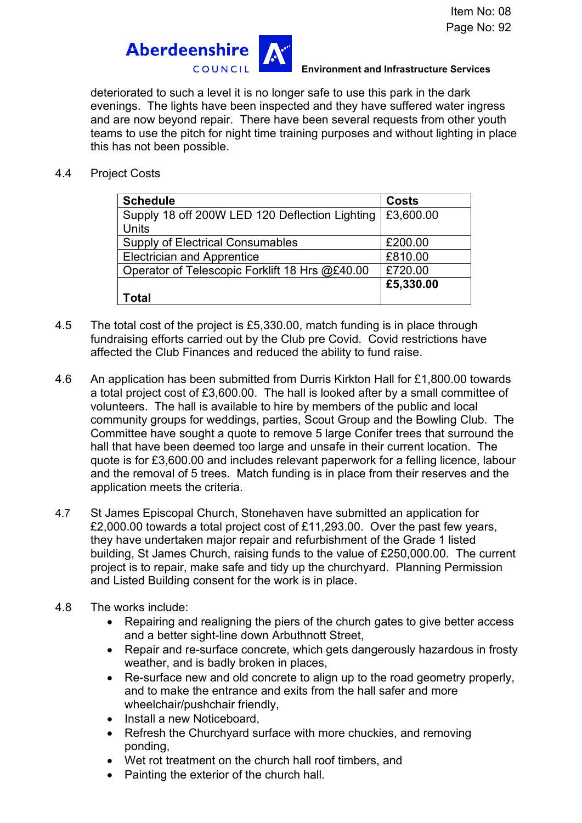

#### **Environment and Infrastructure Services**

deteriorated to such a level it is no longer safe to use this park in the dark evenings. The lights have been inspected and they have suffered water ingress and are now beyond repair. There have been several requests from other youth teams to use the pitch for night time training purposes and without lighting in place this has not been possible.

4.4 Project Costs

| <b>Schedule</b>                                | <b>Costs</b> |
|------------------------------------------------|--------------|
| Supply 18 off 200W LED 120 Deflection Lighting | £3,600.00    |
| <b>Units</b>                                   |              |
| <b>Supply of Electrical Consumables</b>        | £200.00      |
| <b>Electrician and Apprentice</b>              | £810.00      |
| Operator of Telescopic Forklift 18 Hrs @£40.00 | £720.00      |
|                                                | £5,330.00    |
| Total                                          |              |

- 4.5 The total cost of the project is £5,330.00, match funding is in place through fundraising efforts carried out by the Club pre Covid. Covid restrictions have affected the Club Finances and reduced the ability to fund raise.
- 4.6 An application has been submitted from Durris Kirkton Hall for £1,800.00 towards a total project cost of £3,600.00. The hall is looked after by a small committee of volunteers. The hall is available to hire by members of the public and local community groups for weddings, parties, Scout Group and the Bowling Club. The Committee have sought a quote to remove 5 large Conifer trees that surround the hall that have been deemed too large and unsafe in their current location. The quote is for £3,600.00 and includes relevant paperwork for a felling licence, labour and the removal of 5 trees. Match funding is in place from their reserves and the application meets the criteria.
- 4.7 St James Episcopal Church, Stonehaven have submitted an application for £2,000.00 towards a total project cost of £11,293.00. Over the past few years, they have undertaken major repair and refurbishment of the Grade 1 listed building, St James Church, raising funds to the value of £250,000.00. The current project is to repair, make safe and tidy up the churchyard. Planning Permission and Listed Building consent for the work is in place.
- 4.8 The works include:
	- Repairing and realigning the piers of the church gates to give better access and a better sight-line down Arbuthnott Street,
	- Repair and re-surface concrete, which gets dangerously hazardous in frosty weather, and is badly broken in places,
	- Re-surface new and old concrete to align up to the road geometry properly, and to make the entrance and exits from the hall safer and more wheelchair/pushchair friendly,
	- Install a new Noticeboard,
	- Refresh the Churchyard surface with more chuckies, and removing ponding,
	- Wet rot treatment on the church hall roof timbers, and
	- Painting the exterior of the church hall.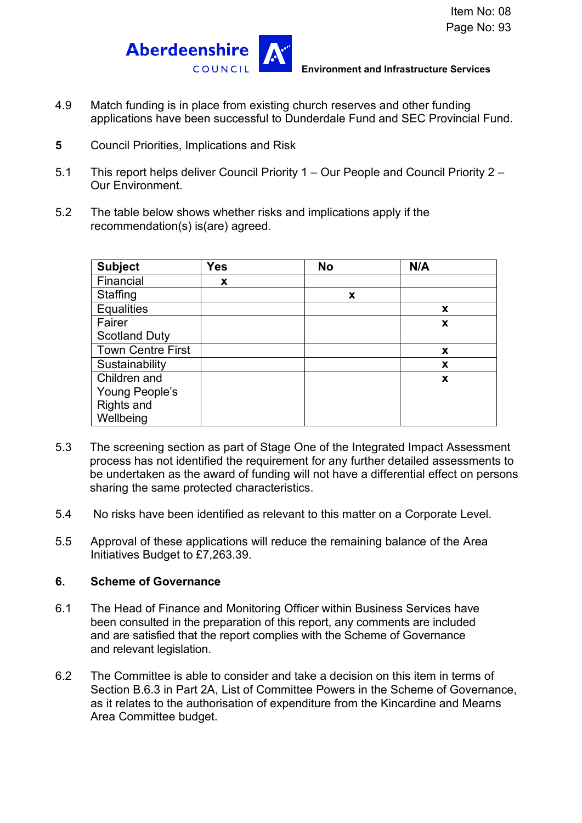

**Environment and Infrastructure Services** 

- 4.9 Match funding is in place from existing church reserves and other funding applications have been successful to Dunderdale Fund and SEC Provincial Fund.
- **5** Council Priorities, Implications and Risk
- 5.1 This report helps deliver Council Priority 1 Our People and Council Priority 2 Our Environment.
- 5.2 The table below shows whether risks and implications apply if the recommendation(s) is(are) agreed.

| <b>Subject</b>           | <b>Yes</b> | <b>No</b> | N/A |
|--------------------------|------------|-----------|-----|
| Financial                | X          |           |     |
| Staffing                 |            | X         |     |
| <b>Equalities</b>        |            |           | X   |
| Fairer                   |            |           | X   |
| <b>Scotland Duty</b>     |            |           |     |
| <b>Town Centre First</b> |            |           | X   |
| Sustainability           |            |           | X   |
| Children and             |            |           | X   |
| Young People's           |            |           |     |
| <b>Rights and</b>        |            |           |     |
| Wellbeing                |            |           |     |

- 5.3 The screening section as part of Stage One of the Integrated Impact Assessment process has not identified the requirement for any further detailed assessments to be undertaken as the award of funding will not have a differential effect on persons sharing the same protected characteristics.
- 5.4 No risks have been identified as relevant to this matter on a Corporate Level.
- 5.5 Approval of these applications will reduce the remaining balance of the Area Initiatives Budget to £7,263.39.

## **6. Scheme of Governance**

- 6.1 The Head of Finance and Monitoring Officer within Business Services have been consulted in the preparation of this report, any comments are included and are satisfied that the report complies with the Scheme of Governance and relevant legislation.
- 6.2 The Committee is able to consider and take a decision on this item in terms of Section B.6.3 in Part 2A, List of Committee Powers in the Scheme of Governance, as it relates to the authorisation of expenditure from the Kincardine and Mearns Area Committee budget.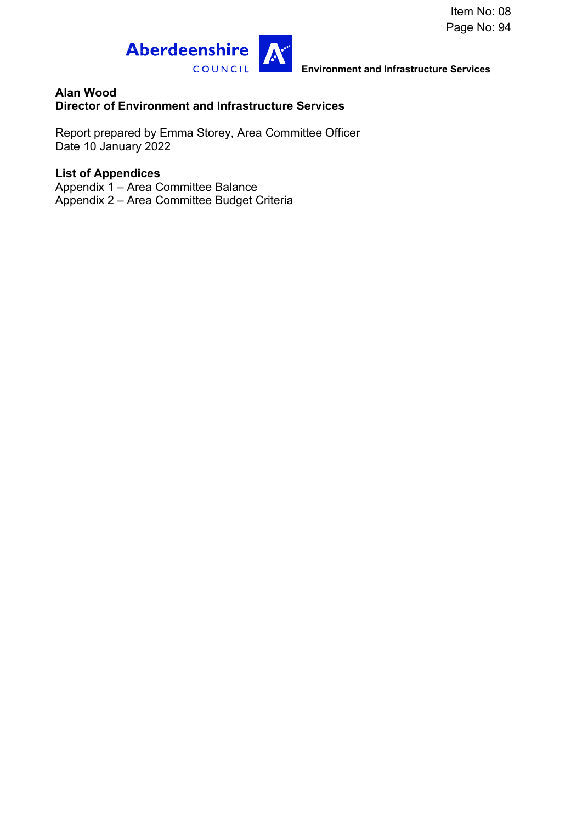

**Environment and Infrastructure Services** 

### **Alan Wood Director of Environment and Infrastructure Services**

Report prepared by Emma Storey, Area Committee Officer Date 10 January 2022

# **List of Appendices**

Appendix 1 – Area Committee Balance Appendix 2 – Area Committee Budget Criteria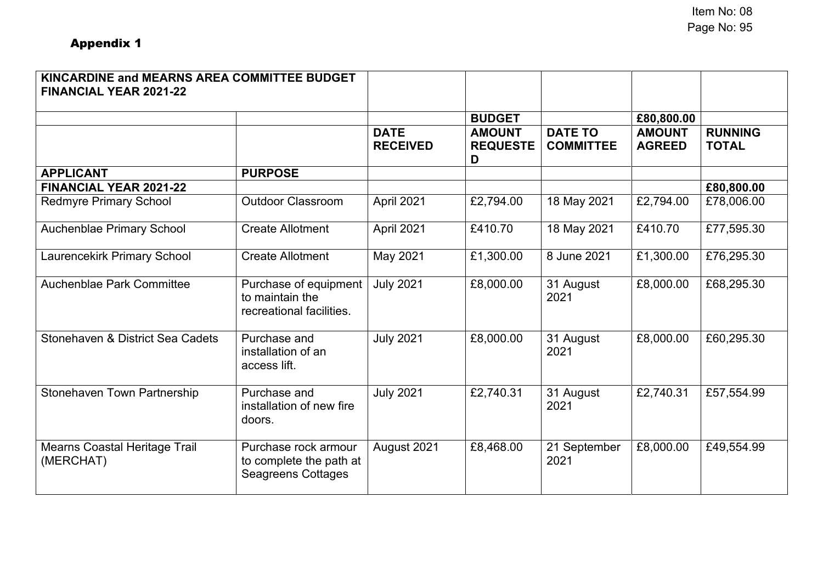| KINCARDINE and MEARNS AREA COMMITTEE BUDGET<br><b>FINANCIAL YEAR 2021-22</b> |                                                                              |                                |                                       |                                    |                                |                                |
|------------------------------------------------------------------------------|------------------------------------------------------------------------------|--------------------------------|---------------------------------------|------------------------------------|--------------------------------|--------------------------------|
|                                                                              |                                                                              |                                | <b>BUDGET</b>                         |                                    | £80,800.00                     |                                |
|                                                                              |                                                                              | <b>DATE</b><br><b>RECEIVED</b> | <b>AMOUNT</b><br><b>REQUESTE</b><br>D | <b>DATE TO</b><br><b>COMMITTEE</b> | <b>AMOUNT</b><br><b>AGREED</b> | <b>RUNNING</b><br><b>TOTAL</b> |
| <b>APPLICANT</b>                                                             | <b>PURPOSE</b>                                                               |                                |                                       |                                    |                                |                                |
| <b>FINANCIAL YEAR 2021-22</b>                                                |                                                                              |                                |                                       |                                    |                                | £80,800.00                     |
| <b>Redmyre Primary School</b>                                                | <b>Outdoor Classroom</b>                                                     | April 2021                     | £2,794.00                             | 18 May 2021                        | £2,794.00                      | £78,006.00                     |
| <b>Auchenblae Primary School</b>                                             | <b>Create Allotment</b>                                                      | April 2021                     | £410.70                               | 18 May 2021                        | £410.70                        | £77,595.30                     |
| <b>Laurencekirk Primary School</b>                                           | <b>Create Allotment</b>                                                      | May 2021                       | £1,300.00                             | 8 June 2021                        | £1,300.00                      | £76,295.30                     |
| Auchenblae Park Committee                                                    | Purchase of equipment<br>to maintain the<br>recreational facilities.         | <b>July 2021</b>               | £8,000.00                             | 31 August<br>2021                  | £8,000.00                      | £68,295.30                     |
| Stonehaven & District Sea Cadets                                             | Purchase and<br>installation of an<br>access lift.                           | <b>July 2021</b>               | £8,000.00                             | 31 August<br>2021                  | £8,000.00                      | £60,295.30                     |
| Stonehaven Town Partnership                                                  | Purchase and<br>installation of new fire<br>doors.                           | <b>July 2021</b>               | £2,740.31                             | 31 August<br>2021                  | £2,740.31                      | £57,554.99                     |
| <b>Mearns Coastal Heritage Trail</b><br>(MERCHAT)                            | Purchase rock armour<br>to complete the path at<br><b>Seagreens Cottages</b> | August 2021                    | £8,468.00                             | 21 September<br>2021               | £8,000.00                      | £49,554.99                     |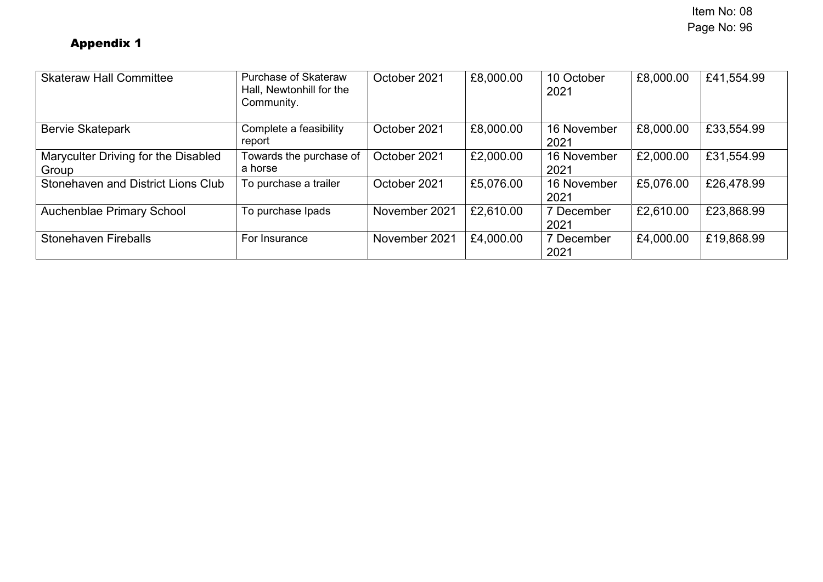| <b>Skateraw Hall Committee</b>               | <b>Purchase of Skateraw</b><br>Hall, Newtonhill for the<br>Community. | October 2021  | £8,000.00 | 10 October<br>2021  | £8,000.00 | £41,554.99 |
|----------------------------------------------|-----------------------------------------------------------------------|---------------|-----------|---------------------|-----------|------------|
| <b>Bervie Skatepark</b>                      | Complete a feasibility<br>report                                      | October 2021  | £8,000.00 | 16 November<br>2021 | £8,000.00 | £33,554.99 |
| Maryculter Driving for the Disabled<br>Group | Towards the purchase of<br>a horse                                    | October 2021  | £2,000.00 | 16 November<br>2021 | £2,000.00 | £31,554.99 |
| Stonehaven and District Lions Club           | To purchase a trailer                                                 | October 2021  | £5,076.00 | 16 November<br>2021 | £5,076.00 | £26,478.99 |
| <b>Auchenblae Primary School</b>             | To purchase Ipads                                                     | November 2021 | £2,610.00 | 7 December<br>2021  | £2,610.00 | £23,868.99 |
| <b>Stonehaven Fireballs</b>                  | For Insurance                                                         | November 2021 | £4,000.00 | 7 December<br>2021  | £4,000.00 | £19,868.99 |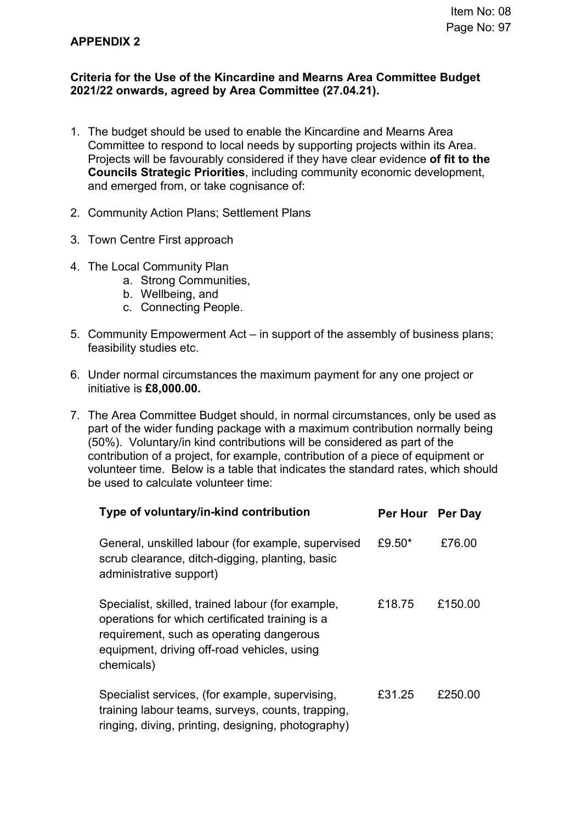## **APPENDIX 2**

## **Criteria for the Use of the Kincardine and Mearns Area Committee Budget 2021/22 onwards, agreed by Area Committee (27.04.21).**

- 1. The budget should be used to enable the Kincardine and Mearns Area Committee to respond to local needs by supporting projects within its Area. Projects will be favourably considered if they have clear evidence **of fit to the Councils Strategic Priorities**, including community economic development, and emerged from, or take cognisance of:
- 2. Community Action Plans; Settlement Plans
- 3. Town Centre First approach
- 4. The Local Community Plan
	- a. Strong Communities,
	- b. Wellbeing, and
	- c. Connecting People.
- 5. Community Empowerment Act in support of the assembly of business plans; feasibility studies etc.
- 6. Under normal circumstances the maximum payment for any one project or initiative is **£8,000.00.**
- 7. The Area Committee Budget should, in normal circumstances, only be used as part of the wider funding package with a maximum contribution normally being (50%). Voluntary/in kind contributions will be considered as part of the contribution of a project, for example, contribution of a piece of equipment or volunteer time. Below is a table that indicates the standard rates, which should be used to calculate volunteer time:

| Type of voluntary/in-kind contribution                                                                                                                                                                        | Per Hour Per Day |         |
|---------------------------------------------------------------------------------------------------------------------------------------------------------------------------------------------------------------|------------------|---------|
| General, unskilled labour (for example, supervised<br>scrub clearance, ditch-digging, planting, basic<br>administrative support)                                                                              | £9.50*           | £76.00  |
| Specialist, skilled, trained labour (for example,<br>operations for which certificated training is a<br>requirement, such as operating dangerous<br>equipment, driving off-road vehicles, using<br>chemicals) | £18.75           | £150.00 |
| Specialist services, (for example, supervising,<br>training labour teams, surveys, counts, trapping,<br>ringing, diving, printing, designing, photography)                                                    | £31.25           | £250.00 |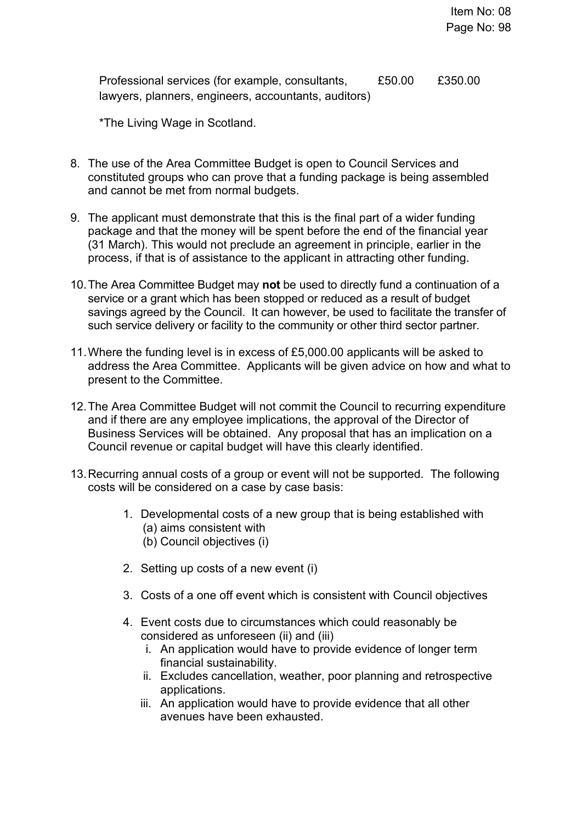Professional services (for example, consultants, lawyers, planners, engineers, accountants, auditors) £50.00 £350.00

\*The Living Wage in Scotland.

- 8. The use of the Area Committee Budget is open to Council Services and constituted groups who can prove that a funding package is being assembled and cannot be met from normal budgets.
- 9. The applicant must demonstrate that this is the final part of a wider funding package and that the money will be spent before the end of the financial year (31 March). This would not preclude an agreement in principle, earlier in the process, if that is of assistance to the applicant in attracting other funding.
- 10. The Area Committee Budget may **not** be used to directly fund a continuation of a service or a grant which has been stopped or reduced as a result of budget savings agreed by the Council. It can however, be used to facilitate the transfer of such service delivery or facility to the community or other third sector partner.
- 11. Where the funding level is in excess of £5,000.00 applicants will be asked to address the Area Committee. Applicants will be given advice on how and what to present to the Committee.
- 12. The Area Committee Budget will not commit the Council to recurring expenditure and if there are any employee implications, the approval of the Director of Business Services will be obtained. Any proposal that has an implication on a Council revenue or capital budget will have this clearly identified.
- 13. Recurring annual costs of a group or event will not be supported. The following costs will be considered on a case by case basis:
	- 1. Developmental costs of a new group that is being established with (a) aims consistent with (b) Council objectives (i)
	- 2. Setting up costs of a new event (i)
	- 3. Costs of a one off event which is consistent with Council objectives
	- 4. Event costs due to circumstances which could reasonably be considered as unforeseen (ii) and (iii)
		- i. An application would have to provide evidence of longer term financial sustainability.
		- ii. Excludes cancellation, weather, poor planning and retrospective applications.
		- iii. An application would have to provide evidence that all other avenues have been exhausted.